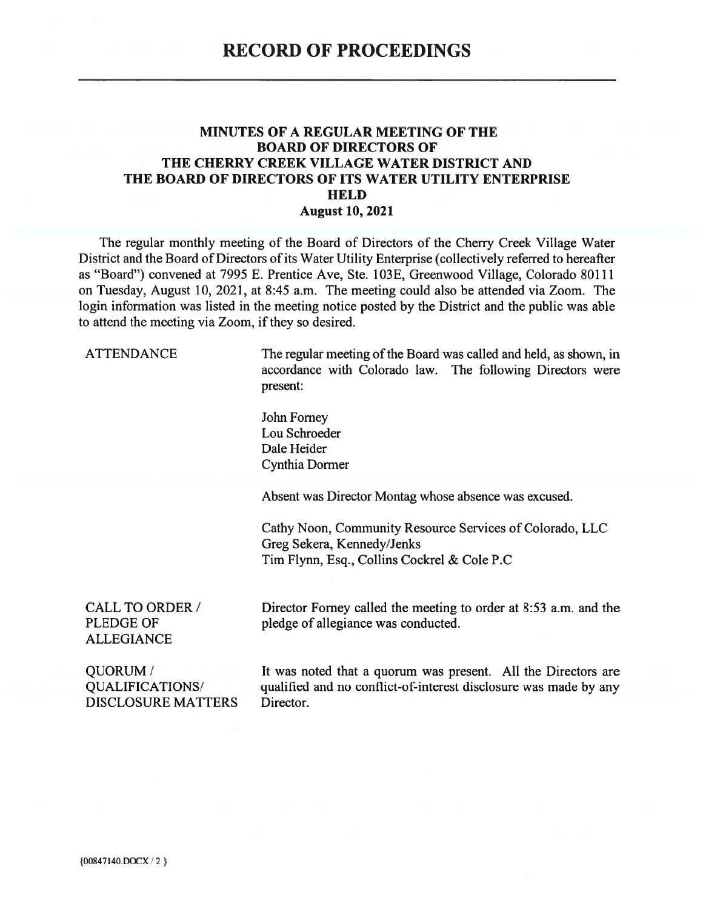## **MINUTES OF A REGULAR MEETING OF THE BOARD OF DIRECTORS OF** THE CHERRY CREEK VILLAGE WATER DISTRICT AND THE BOARD OF DIRECTORS OF ITS WATER UTILITY ENTERPRISE **HELD August 10, 2021**

The regular monthly meeting of the Board of Directors of the Cherry Creek Village Water District and the Board of Directors of its Water Utility Enterprise (collectively referred to hereafter as "Board") convened at 7995 E. Prentice Ave, Ste. 103E, Greenwood Village, Colorado 80111 on Tuesday, August 10, 2021, at 8:45 a.m. The meeting could also be attended via Zoom. The login information was listed in the meeting notice posted by the District and the public was able to attend the meeting via Zoom, if they so desired.

**ATTENDANCE** 

The regular meeting of the Board was called and held, as shown, in accordance with Colorado law. The following Directors were present:

John Forney Lou Schroeder Dale Heider Cynthia Dormer

Absent was Director Montag whose absence was excused.

Cathy Noon, Community Resource Services of Colorado, LLC Greg Sekera, Kennedy/Jenks Tim Flynn, Esq., Collins Cockrel & Cole P.C

**CALL TO ORDER / PLEDGE OF ALLEGIANCE** 

Director Forney called the meeting to order at 8:53 a.m. and the pledge of allegiance was conducted.

QUORUM/ QUALIFICATIONS/ **DISCLOSURE MATTERS** 

It was noted that a quorum was present. All the Directors are qualified and no conflict-of-interest disclosure was made by any Director.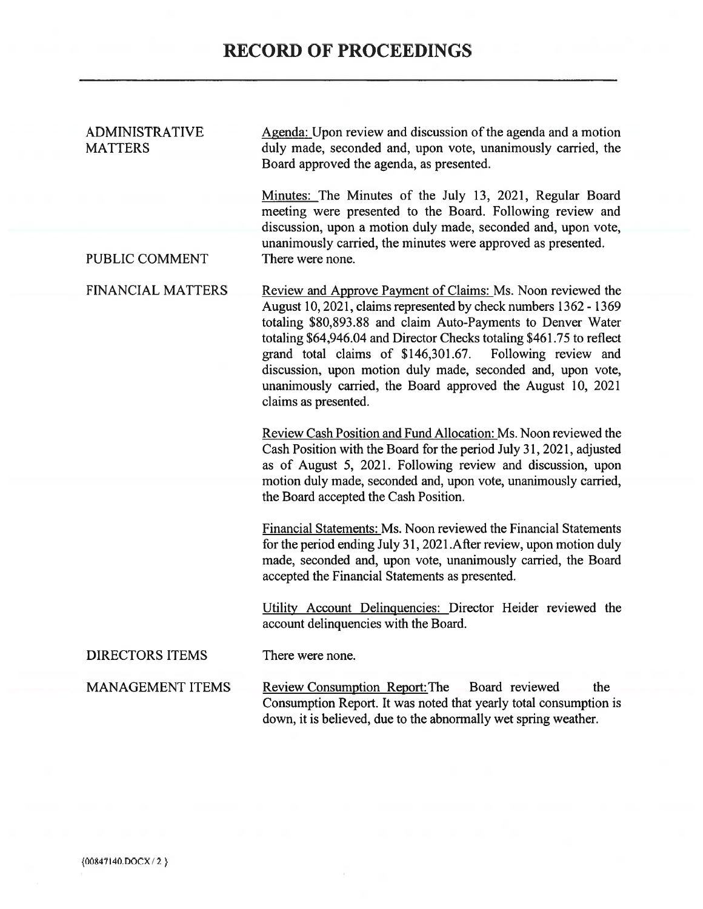| <b>ADMINISTRATIVE</b><br><b>MATTERS</b> | Agenda: Upon review and discussion of the agenda and a motion<br>duly made, seconded and, upon vote, unanimously carried, the<br>Board approved the agenda, as presented.                                                                                                                                                                                                                                                                                                                     |
|-----------------------------------------|-----------------------------------------------------------------------------------------------------------------------------------------------------------------------------------------------------------------------------------------------------------------------------------------------------------------------------------------------------------------------------------------------------------------------------------------------------------------------------------------------|
|                                         | Minutes: The Minutes of the July 13, 2021, Regular Board<br>meeting were presented to the Board. Following review and<br>discussion, upon a motion duly made, seconded and, upon vote,<br>unanimously carried, the minutes were approved as presented.                                                                                                                                                                                                                                        |
| PUBLIC COMMENT                          | There were none.                                                                                                                                                                                                                                                                                                                                                                                                                                                                              |
| <b>FINANCIAL MATTERS</b>                | Review and Approve Payment of Claims: Ms. Noon reviewed the<br>August 10, 2021, claims represented by check numbers 1362 - 1369<br>totaling \$80,893.88 and claim Auto-Payments to Denver Water<br>totaling \$64,946.04 and Director Checks totaling \$461.75 to reflect<br>grand total claims of \$146,301.67.<br>Following review and<br>discussion, upon motion duly made, seconded and, upon vote,<br>unanimously carried, the Board approved the August 10, 2021<br>claims as presented. |
|                                         | Review Cash Position and Fund Allocation: Ms. Noon reviewed the<br>Cash Position with the Board for the period July 31, 2021, adjusted<br>as of August 5, 2021. Following review and discussion, upon<br>motion duly made, seconded and, upon vote, unanimously carried,<br>the Board accepted the Cash Position.                                                                                                                                                                             |
|                                         | Financial Statements: Ms. Noon reviewed the Financial Statements<br>for the period ending July 31, 2021. After review, upon motion duly<br>made, seconded and, upon vote, unanimously carried, the Board<br>accepted the Financial Statements as presented.                                                                                                                                                                                                                                   |
|                                         | Utility Account Delinquencies: Director Heider reviewed the<br>account delinquencies with the Board.                                                                                                                                                                                                                                                                                                                                                                                          |
| <b>DIRECTORS ITEMS</b>                  | There were none.                                                                                                                                                                                                                                                                                                                                                                                                                                                                              |
| <b>MANAGEMENT ITEMS</b>                 | Review Consumption Report: The Board reviewed<br>the<br>Consumption Report. It was noted that yearly total consumption is<br>down, it is believed, due to the abnormally wet spring weather.                                                                                                                                                                                                                                                                                                  |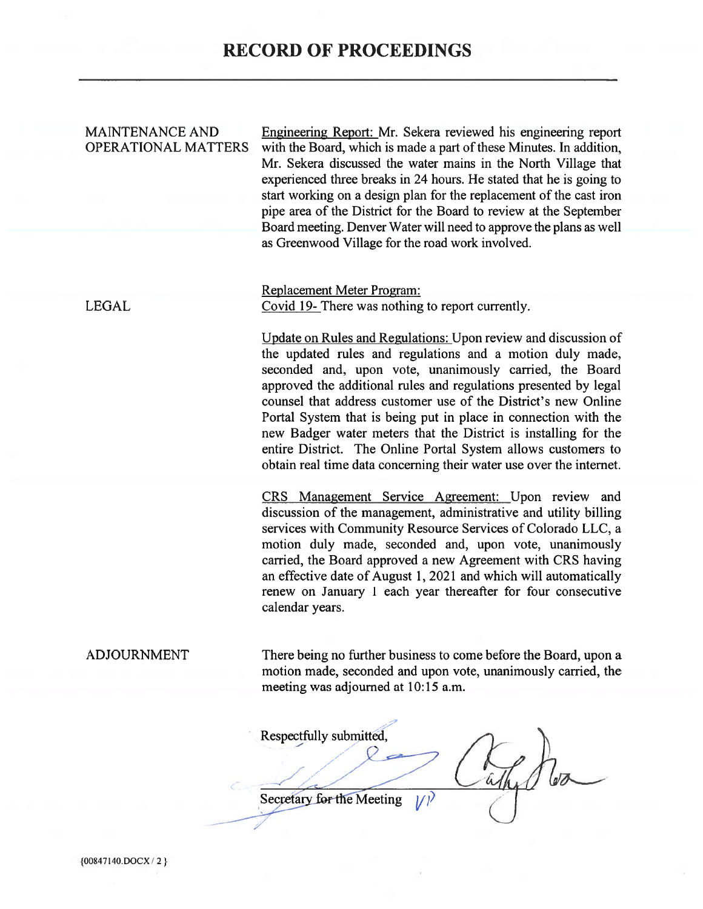| <b>MAINTENANCE AND</b><br><b>OPERATIONAL MATTERS</b> | Engineering Report: Mr. Sekera reviewed his engineering report<br>with the Board, which is made a part of these Minutes. In addition,<br>Mr. Sekera discussed the water mains in the North Village that<br>experienced three breaks in 24 hours. He stated that he is going to<br>start working on a design plan for the replacement of the cast iron<br>pipe area of the District for the Board to review at the September<br>Board meeting. Denver Water will need to approve the plans as well<br>as Greenwood Village for the road work involved.                                                      |
|------------------------------------------------------|------------------------------------------------------------------------------------------------------------------------------------------------------------------------------------------------------------------------------------------------------------------------------------------------------------------------------------------------------------------------------------------------------------------------------------------------------------------------------------------------------------------------------------------------------------------------------------------------------------|
| <b>LEGAL</b>                                         | Replacement Meter Program:<br>Covid 19- There was nothing to report currently.                                                                                                                                                                                                                                                                                                                                                                                                                                                                                                                             |
|                                                      | Update on Rules and Regulations: Upon review and discussion of<br>the updated rules and regulations and a motion duly made,<br>seconded and, upon vote, unanimously carried, the Board<br>approved the additional rules and regulations presented by legal<br>counsel that address customer use of the District's new Online<br>Portal System that is being put in place in connection with the<br>new Badger water meters that the District is installing for the<br>entire District. The Online Portal System allows customers to<br>obtain real time data concerning their water use over the internet. |
|                                                      | CRS Management Service Agreement: Upon review and<br>discussion of the management, administrative and utility billing<br>services with Community Resource Services of Colorado LLC, a<br>motion duly made, seconded and, upon vote, unanimously<br>carried, the Board approved a new Agreement with CRS having<br>an effective date of August 1, 2021 and which will automatically<br>renew on January 1 each year thereafter for four consecutive<br>calendar years.                                                                                                                                      |
| <b>ADJOURNMENT</b>                                   | There being no further business to come before the Board, upon a<br>motion made, seconded and upon vote, unanimously carried, the<br>meeting was adjourned at 10:15 a.m.                                                                                                                                                                                                                                                                                                                                                                                                                                   |
|                                                      | Respectfully submitted,<br>Secretary for the Meeting                                                                                                                                                                                                                                                                                                                                                                                                                                                                                                                                                       |
|                                                      |                                                                                                                                                                                                                                                                                                                                                                                                                                                                                                                                                                                                            |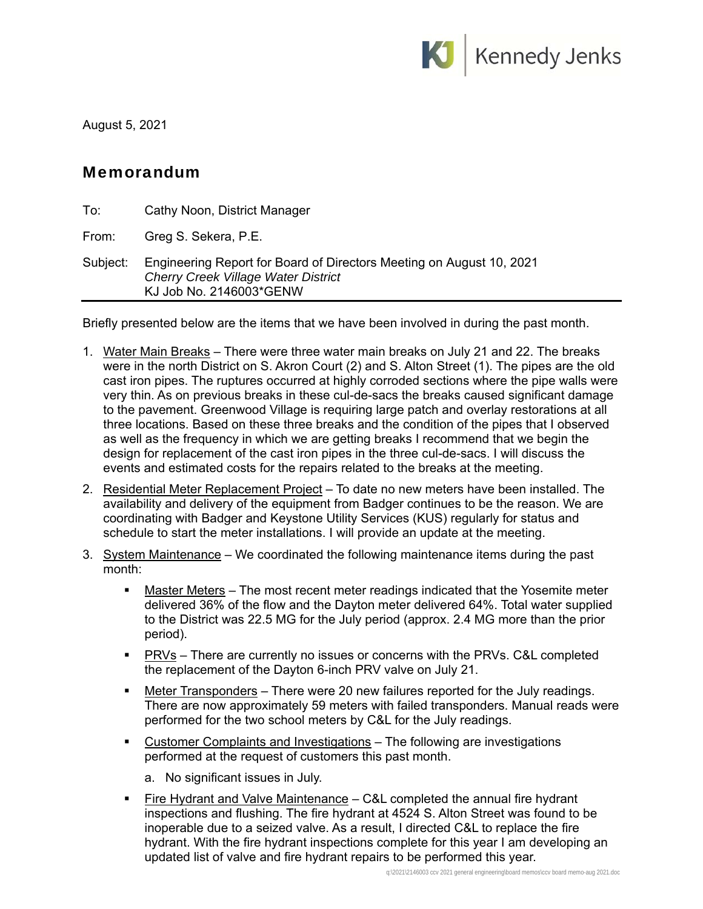

August 5, 2021

## Memorandum

| To:      | Cathy Noon, District Manager                                                                                                                  |
|----------|-----------------------------------------------------------------------------------------------------------------------------------------------|
| From:    | Greg S. Sekera, P.E.                                                                                                                          |
| Subject: | Engineering Report for Board of Directors Meeting on August 10, 2021<br><b>Cherry Creek Village Water District</b><br>KJ Job No. 2146003*GENW |

Briefly presented below are the items that we have been involved in during the past month.

- 1. Water Main Breaks There were three water main breaks on July 21 and 22. The breaks were in the north District on S. Akron Court (2) and S. Alton Street (1). The pipes are the old cast iron pipes. The ruptures occurred at highly corroded sections where the pipe walls were very thin. As on previous breaks in these cul-de-sacs the breaks caused significant damage to the pavement. Greenwood Village is requiring large patch and overlay restorations at all three locations. Based on these three breaks and the condition of the pipes that I observed as well as the frequency in which we are getting breaks I recommend that we begin the design for replacement of the cast iron pipes in the three cul-de-sacs. I will discuss the events and estimated costs for the repairs related to the breaks at the meeting.
- 2. Residential Meter Replacement Project To date no new meters have been installed. The availability and delivery of the equipment from Badger continues to be the reason. We are coordinating with Badger and Keystone Utility Services (KUS) regularly for status and schedule to start the meter installations. I will provide an update at the meeting.
- 3. System Maintenance We coordinated the following maintenance items during the past month:
	- Master Meters The most recent meter readings indicated that the Yosemite meter delivered 36% of the flow and the Dayton meter delivered 64%. Total water supplied to the District was 22.5 MG for the July period (approx. 2.4 MG more than the prior period).
	- **PRVs** There are currently no issues or concerns with the PRVs. C&L completed the replacement of the Dayton 6-inch PRV valve on July 21.
	- Meter Transponders There were 20 new failures reported for the July readings. There are now approximately 59 meters with failed transponders. Manual reads were performed for the two school meters by C&L for the July readings.
	- Customer Complaints and Investigations The following are investigations performed at the request of customers this past month.
		- a. No significant issues in July.
	- **Fire Hydrant and Valve Maintenance** C&L completed the annual fire hydrant inspections and flushing. The fire hydrant at 4524 S. Alton Street was found to be inoperable due to a seized valve. As a result, I directed C&L to replace the fire hydrant. With the fire hydrant inspections complete for this year I am developing an updated list of valve and fire hydrant repairs to be performed this year.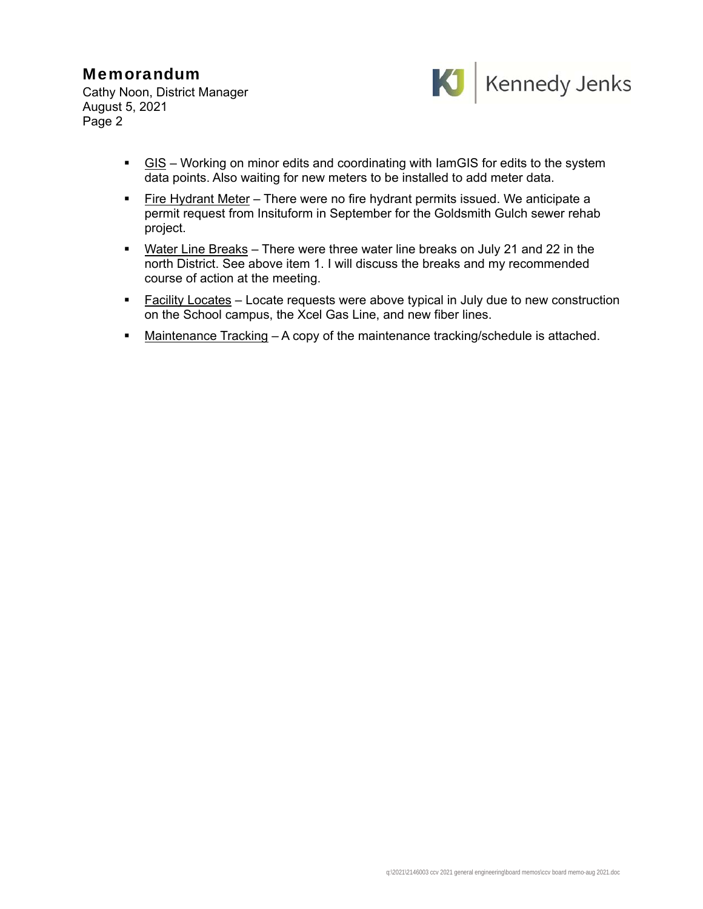## Memorandum

Cathy Noon, District Manager August 5, 2021 Page 2



- $\blacksquare$  GIS Working on minor edits and coordinating with lamGIS for edits to the system data points. Also waiting for new meters to be installed to add meter data.
- **Fire Hydrant Meter There were no fire hydrant permits issued. We anticipate a** permit request from Insituform in September for the Goldsmith Gulch sewer rehab project.
- **Water Line Breaks** There were three water line breaks on July 21 and 22 in the north District. See above item 1. I will discuss the breaks and my recommended course of action at the meeting.
- **Facility Locates** Locate requests were above typical in July due to new construction on the School campus, the Xcel Gas Line, and new fiber lines.
- Maintenance Tracking A copy of the maintenance tracking/schedule is attached.